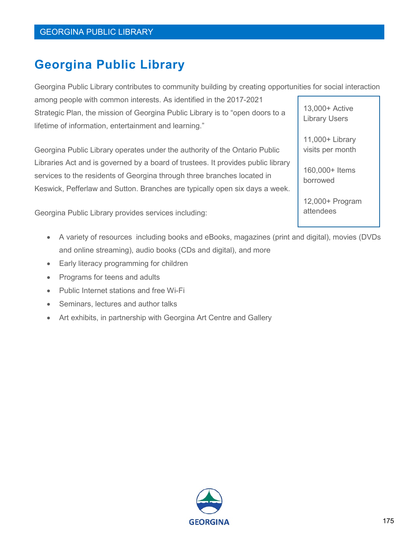## **Georgina Public Library**

Georgina Public Library contributes to community building by creating opportunities for social interaction

among people with common interests. As identified in the 2017-2021 Strategic Plan, the mission of Georgina Public Library is to "open doors to a lifetime of information, entertainment and learning."

Georgina Public Library operates under the authority of the Ontario Public Libraries Act and is governed by a board of trustees. It provides public library services to the residents of Georgina through three branches located in Keswick, Pefferlaw and Sutton. Branches are typically open six days a week.

Georgina Public Library provides services including:

- A variety of resources including books and eBooks, magazines (print and digital), movies (DVDs and online streaming), audio books (CDs and digital), and more
- Early literacy programming for children
- Programs for teens and adults
- Public Internet stations and free Wi-Fi
- Seminars, lectures and author talks
- Art exhibits, in partnership with Georgina Art Centre and Gallery

13,000+ Active Library Users 11,000+ Library visits per month

> 160,000+ Items borrowed

12,000+ Program attendees

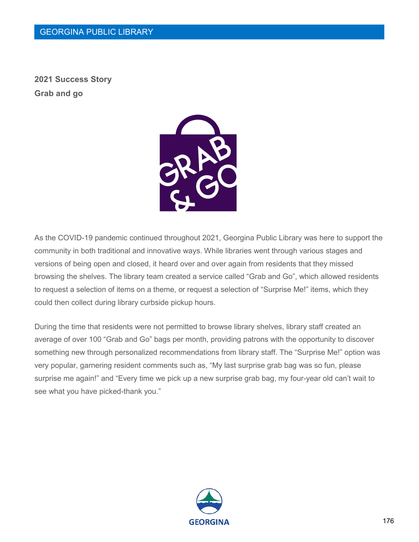**2021 Success Story Grab and go**



As the COVID-19 pandemic continued throughout 2021, Georgina Public Library was here to support the community in both traditional and innovative ways. While libraries went through various stages and versions of being open and closed, it heard over and over again from residents that they missed browsing the shelves. The library team created a service called "Grab and Go", which allowed residents to request a selection of items on a theme, or request a selection of "Surprise Me!" items, which they could then collect during library curbside pickup hours.

During the time that residents were not permitted to browse library shelves, library staff created an average of over 100 "Grab and Go" bags per month, providing patrons with the opportunity to discover something new through personalized recommendations from library staff. The "Surprise Me!" option was very popular, garnering resident comments such as, "My last surprise grab bag was so fun, please surprise me again!" and "Every time we pick up a new surprise grab bag, my four-year old can't wait to see what you have picked-thank you."

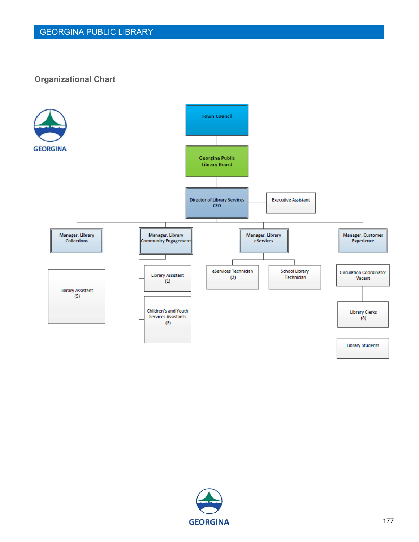#### **Organizational Chart**



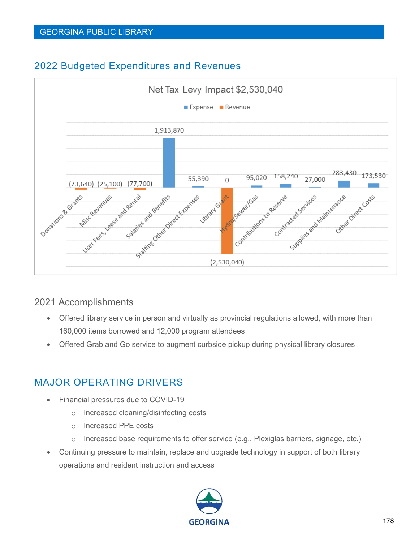### 2022 Budgeted Expenditures and Revenues



#### 2021 Accomplishments

- Offered library service in person and virtually as provincial regulations allowed, with more than 160,000 items borrowed and 12,000 program attendees
- Offered Grab and Go service to augment curbside pickup during physical library closures

### MAJOR OPERATING DRIVERS

- Financial pressures due to COVID-19
	- o Increased cleaning/disinfecting costs
	- o Increased PPE costs
	- o Increased base requirements to offer service (e.g., Plexiglas barriers, signage, etc.)
- Continuing pressure to maintain, replace and upgrade technology in support of both library operations and resident instruction and access

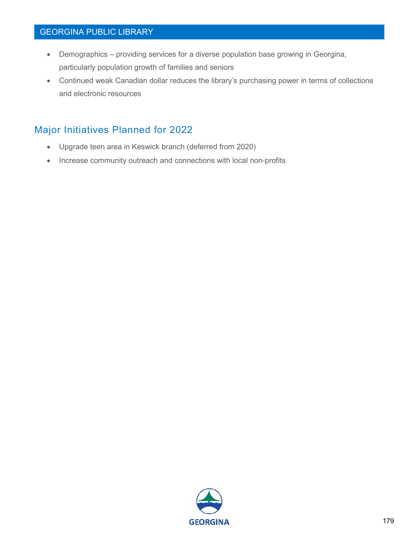#### GEORGINA PUBLIC LIBRARY

- Demographics providing services for a diverse population base growing in Georgina, particularly population growth of families and seniors
- Continued weak Canadian dollar reduces the library's purchasing power in terms of collections and electronic resources

### Major Initiatives Planned for 2022

- Upgrade teen area in Keswick branch (deferred from 2020)
- Increase community outreach and connections with local non-profits

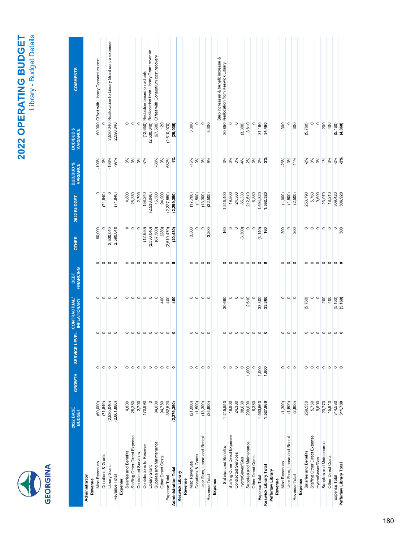|  | ū |
|--|---|
|--|---|

# 2022 OPERATING BUDGET **2022 OPERATING BUDGET** Library - Budget Details

| <b>COMMENTS</b><br><b>BUD/BUD \$</b><br>VARIANCE |                |         | 60,000 Offset with Library Consortium cost |                    | 2,530,040 Reallocation to Library Grant contra expense<br>2,590,040 |               |         | $\circ$               | $  \circ   \circ$             |                            | (12,650) Reduction based on actuals | (2,530,040) Reallocation from Library Grant revenue | (67,500) Offset with Consortium cost recovery       | 120                | (2,610,070)       | (20, 030)                   |                 |         | 3,300                | $\circ$            | $\circ$                     | 3,300         |         | Step increases & benefit increase &<br>30,850 reallocation from Keswick Library | $\circ$                       | $\circ$             | (3,300)         | 3,610                    |                    | 31,160        | 34,460                |                   |         | 300           | $\circ$                     | 300           |         | (5,760)               | $\circ$                       | $\circ$                   | 200                      | 400                | (5, 160)          | (4,860)                 |
|--------------------------------------------------|----------------|---------|--------------------------------------------|--------------------|---------------------------------------------------------------------|---------------|---------|-----------------------|-------------------------------|----------------------------|-------------------------------------|-----------------------------------------------------|-----------------------------------------------------|--------------------|-------------------|-----------------------------|-----------------|---------|----------------------|--------------------|-----------------------------|---------------|---------|---------------------------------------------------------------------------------|-------------------------------|---------------------|-----------------|--------------------------|--------------------|---------------|-----------------------|-------------------|---------|---------------|-----------------------------|---------------|---------|-----------------------|-------------------------------|---------------------------|--------------------------|--------------------|-------------------|-------------------------|
| <b>BUD/BUD %</b><br>VARIANCE                     |                |         | $-100%$                                    | 0%                 | $-100%$                                                             | $-97%$        |         | 0%                    | 0%                            | 0%                         | $-7\%$                              |                                                     | $-80%$                                              | 0%                 | -682%             | $\frac{5}{6}$               |                 |         | $-16%$               | 0%                 | 0%                          | $-9%$         |         | 3%                                                                              | $0\%$                         | $0\%$               | 4%              | 2%                       | 0%                 | 2%            | $2\%$                 |                   |         | 23%           | 0%                          | $-11%$        |         | $-2%$                 | 0%                            | 0%                        | 1%                       | 3%                 | $-2%$             | 2%                      |
| 2022 BUDGET                                      |                |         | $\circ$                                    | (71, 840)          |                                                                     | (71, 840)     |         | 4,800                 | 25,350                        | 2,700                      | 158,240                             | (2,530,040)                                         | 16,500                                              | 94,900             | (2, 227, 550)     | (2, 299, 390)               |                 |         | (17,700)             | (1,500)            | (13, 300)                   | (32,500)      |         | 1,246,400                                                                       | 19,800                        | 24,300              | 85,330          | 212,610                  | 6,380              | 1,594,820     | 1,562,320             |                   |         | (1,000)       | (1,500)                     | (2,500)       |         | 253,790               | 5,760                         | 9,690                     | 23,970                   | 16,210             | 309,420           | 306,920                 |
| <b>OTHER</b>                                     |                |         | 60,000                                     |                    | 2,530,040                                                           | 2,590,040     |         | $\circ$               | $\circ$                       | $\circ$                    | (12, 650)                           | (2,530,040)                                         | (67, 500)                                           | (280)              | (2,610,470)       | (20, 430)                   |                 |         | 3,300                | $\circ$            | $\circ$                     | 300<br>ო      |         | 160                                                                             | $\circ$                       |                     | (3,300)         |                          |                    | (3, 140)      | 160                   |                   |         | 300           | $\circ$                     | 300           |         | $\circ$               |                               | 0 0                       | $\circ$                  | $\circ$            | $\circ$           | ន្ល                     |
| <b>FINANCING</b><br>DEBT                         |                |         | $\circ$                                    |                    | $  \circ   \circ   \circ$                                           |               |         | $\circ$               |                               |                            |                                     |                                                     | $\circ \circ \circ \circ \circ \circ \circ \bullet$ |                    |                   |                             |                 |         | $\circ$              | $\circ$            | $  \circ   \circ$           |               |         | $\circ$                                                                         | $\circ$                       |                     |                 |                          |                    |               |                       |                   |         | $\circ$       |                             | $\circ \circ$ |         | $\circ$               |                               | $\circ \circ \circ \circ$ |                          |                    | $  \circ   \circ$ |                         |
| <b>CONTRACTUAL/</b><br><b>INFLATIONARY</b>       |                |         | $\circ$                                    |                    | 000                                                                 |               |         | $\circ$               | $ 0 0 0 0 0$                  |                            |                                     |                                                     |                                                     | 400                | 400               | å0                          |                 |         | $\circ$              |                    | $\circ \circ \circ$         |               |         | 30,690                                                                          | $\circ$                       | $\circ$             | $\circ$         | 2,610                    |                    | 33,300        | 33,300                |                   |         | $\circ$       |                             | $\circ \circ$ |         | (5,760)               | $\circ$                       | $\circ$                   | 200                      | 400                |                   | $(5,160)$<br>$(5,160)$  |
| <b>EVEL</b><br><b>SERVICE</b>                    |                |         | 0                                          | $\circ$            | $\circ$ $\circ$                                                     |               |         | $\circ$               | $\circ$                       |                            |                                     |                                                     | $\circ \circ \circ \circ \circ$                     |                    | $  \circ   \circ$ |                             |                 |         | 0                    | $\circ$            | $\circ$ $\circ$             |               |         | $\circ$                                                                         | $\circ$                       |                     |                 |                          |                    |               |                       |                   |         | $\circ$       | $\circ$                     | $\circ$       |         | $\circ$               |                               | $\circ \circ \circ \circ$ |                          |                    |                   | $\circ \circ$           |
| <b>GROWTH</b>                                    |                |         | $\circ$                                    |                    | $\circ \circ \circ$                                                 |               |         | $\circ$               | $\circ$                       |                            |                                     |                                                     | $\circ \circ \circ \circ \circ \circ \circ$         |                    |                   |                             |                 |         | 0                    |                    | $\circ \circ \circ$         |               |         | $\circ$                                                                         |                               | $\circ \circ$       | $\circ$         | 1,000                    | $\circ$            | 1,000         | 1,000                 |                   |         | $\circ$       |                             | $\circ \circ$ |         | $\circ$               |                               | $\circ \circ \circ \circ$ |                          |                    | $  \circ   \circ$ |                         |
| 2022 BASE<br><b>BUDGET</b>                       |                |         | (60,000)                                   | (71, 840)          | (2,530,040)                                                         | (2,661,880)   |         | 4,800                 | 25,350                        | 2,700                      | 170,890                             | $\circ$                                             | 84,000                                              | 94,780             | 382,520           | (2, 279, 360)               |                 |         | (21,000)             | (1,500)            | (13,300)                    | (35, 800)     |         | 1,215,550                                                                       | 19,800                        | 24,300              | 88,630          | 209,000                  | 6,380              | 1,563,660     | 1,527,860             |                   |         | (1,300)       | (1,500)                     | (2, 800)      |         | 259,550               | 5,760                         | 9,690                     | 23,770                   | 15,810             | 314,580           | 311,780                 |
|                                                  | Administration | Revenue | Misc Revenues                              | Donations & Grants | Library Grant                                                       | Revenue Total | Expense | Salaries and Benefits | Staffing Other Direct Expense | <b>Contracted Services</b> | Contributions to Reserve            | Library Grant                                       | Supplies and Maintenance                            | Other Direct Costs | Expense Total     | <b>Administration Total</b> | Keswick Library | Revenue | <b>Misc Revenues</b> | Donations & Grants | User Fees, Lease and Rental | Revenue Total | Expense | Salaries and Benefits                                                           | Staffing Other Direct Expense | Contracted Services | Hydro/Sewer/Gas | Supplies and Maintenance | Other Direct Costs | Expense Total | Keswick Library Total | Pefferlaw Library | Revenue | Misc Revenues | User Fees, Lease and Rental | Revenue Total | Expense | Salaries and Benefits | Staffing Other Direct Expense | Hydro/Sewer/Gas           | Supplies and Maintenance | Other Direct Costs | Expense Total     | Pefferlaw Library Total |